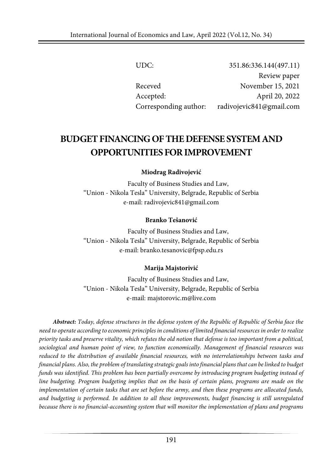| UDC:                  | 351.86:336.144(497.11)   |
|-----------------------|--------------------------|
|                       | Review paper             |
| Receved               | November 15, 2021        |
| Accepted:             | April 20, 2022           |
| Corresponding author: | radivojevic841@gmail.com |

# **BUDGET FINANCING OF THE DEFENSE SYSTEM AND OPPORTUNITIESFORIMPROVEMENT**

**Miodrag Radivojević**

Faculty of Business Studies and Law, "Union - Nikola Tesla" University, Belgrade, Republic of Serbia e-mail: radivojevic841@gmail.com

#### **Branko Tešanović**

Faculty of Business Studies and Law, "Union - Nikola Tesla" University, Belgrade, Republic of Serbia e-mail: branko.tesanovic@fpsp.edu.rs

#### **Marija Majstorivić**

Faculty of Business Studies and Law, "Union - Nikola Tesla" University, Belgrade, Republic of Serbia e-mail: majstorovic.m@live.com

*Abstract: Today, defense structures in the defense system of the Republic of Republic of Serbia face the* need to operate according to economic principles in conditions of limited financial resources in order to realize priority tasks and preserve vitality, which refutes the old notion that defense is too important from a political, *sociological and human point of view, to function economically. Management of financial resources was reduced to the distribution of available financial resources, with no interrelationships between tasks and* financial plans. Also, the problem of translating strategic goals into financial plans that can be linked to budget *funds was identified. This problem has been partially overcome by introducing program budgeting instead of line budgeting. Program budgeting implies that on the basis of certain plans, programs are made on the* implementation of certain tasks that are set before the army, and then these programs are allocated funds, *and budgeting is performed. In addition to all these improvements, budget financing is still unregulated because there is no financial-accounting system that will monitor the implementation of plans and programs*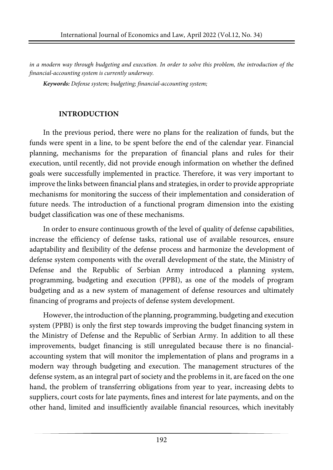in a modern way through budgeting and execution. In order to solve this problem, the introduction of the *financial-accounting system is currently underway.*

*Keywords: Defense system; budgeting; financial-accounting system;*

### **INTRODUCTION**

In the previous period, there were no plans for the realization of funds, but the funds were spent in a line, to be spent before the end of the calendar year. Financial planning, mechanisms for the preparation of financial plans and rules for their execution, until recently, did not provide enough information on whether the defined goals were successfully implemented in practice. Therefore, it was very important to improve the links between financial plans and strategies, in order to provide appropriate mechanisms for monitoring the success of their implementation and consideration of future needs. The introduction of a functional program dimension into the existing budget classification was one of these mechanisms.

In order to ensure continuous growth of the level of quality of defense capabilities, increase the efficiency of defense tasks, rational use of available resources, ensure adaptability and flexibility of the defense process and harmonize the development of defense system components with the overall development of the state, the Ministry of Defense and the Republic of Serbian Army introduced a planning system, programming, budgeting and execution (PPBI), as one of the models of program budgeting and as a new system of management of defense resources and ultimately financing of programs and projects of defense system development.

However, the introduction of the planning, programming, budgeting and execution system (PPBI) is only the first step towards improving the budget financing system in the Ministry of Defense and the Republic of Serbian Army. In addition to all these improvements, budget financing is still unregulated because there is no financialaccounting system that will monitor the implementation of plans and programs in a modern way through budgeting and execution. The management structures of the defense system, as an integral part of society and the problems in it, are faced on the one hand, the problem of transferring obligations from year to year, increasing debts to suppliers, court costs for late payments, fines and interest for late payments, and on the other hand, limited and insufficiently available financial resources, which inevitably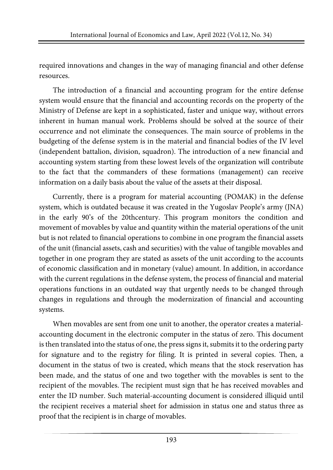required innovations and changes in the way of managing financial and other defense resources.

The introduction of a financial and accounting program for the entire defense system would ensure that the financial and accounting records on the property of the Ministry of Defense are kept in a sophisticated, faster and unique way, without errors inherent in human manual work. Problems should be solved at the source of their occurrence and not eliminate the consequences. The main source of problems in the budgeting of the defense system is in the material and financial bodies of the IV level (independent battalion, division, squadron). The introduction of a new financial and accounting system starting from these lowest levels of the organization will contribute to the fact that the commanders of these formations (management) can receive information on a daily basis about the value of the assets at their disposal.

Currently, there is a program for material accounting (POMAK) in the defense system, which is outdated because it was created in the Yugoslav People's army (JNA) in the early 90's of the 20thcentury. This program monitors the condition and movement of movables by value and quantity within the material operations of the unit but is not related to financial operations to combine in one program the financial assets of the unit (financial assets, cash and securities) with the value of tangible movables and together in one program they are stated as assets of the unit according to the accounts of economic classification and in monetary (value) amount. In addition, in accordance with the current regulations in the defense system, the process of financial and material operations functions in an outdated way that urgently needs to be changed through changes in regulations and through the modernization of financial and accounting systems.

When movables are sent from one unit to another, the operator creates a materialaccounting document in the electronic computer in the status of zero. This document is then translated into the status of one, the press signs it, submits it to the ordering party for signature and to the registry for filing. It is printed in several copies. Then, a document in the status of two is created, which means that the stock reservation has been made, and the status of one and two together with the movables is sent to the recipient of the movables. The recipient must sign that he has received movables and enter the ID number. Such material-accounting document is considered illiquid until the recipient receives a material sheet for admission in status one and status three as proof that the recipient is in charge of movables.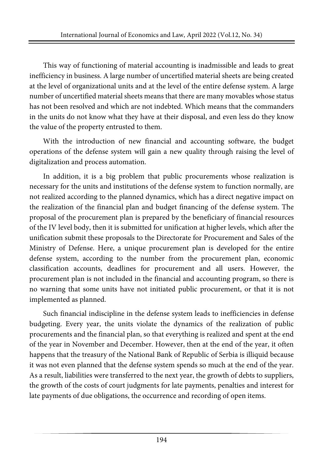This way of functioning of material accounting is inadmissible and leads to great inefficiency in business. A large number of uncertified material sheets are being created at the level of organizational units and at the level of the entire defense system. A large number of uncertified material sheets means that there are many movables whose status has not been resolved and which are not indebted. Which means that the commanders in the units do not know what they have at their disposal, and even less do they know the value of the property entrusted to them.

With the introduction of new financial and accounting software, the budget operations of the defense system will gain a new quality through raising the level of digitalization and process automation.

In addition, it is a big problem that public procurements whose realization is necessary for the units and institutions of the defense system to function normally, are not realized according to the planned dynamics, which has a direct negative impact on the realization of the financial plan and budget financing of the defense system. The proposal of the procurement plan is prepared by the beneficiary of financial resources of the IV level body, then it is submitted for unification at higher levels, which after the unification submit these proposals to the Directorate for Procurement and Sales of the Ministry of Defense. Here, a unique procurement plan is developed for the entire defense system, according to the number from the procurement plan, economic classification accounts, deadlines for procurement and all users. However, the procurement plan is not included in the financial and accounting program, so there is no warning that some units have not initiated public procurement, or that it is not implemented as planned.

Such financial indiscipline in the defense system leads to inefficiencies in defense budgeting. Every year, the units violate the dynamics of the realization of public procurements and the financial plan, so that everything is realized and spent at the end of the year in November and December. However, then at the end of the year, it often happens that the treasury of the National Bank of Republic of Serbia is illiquid because it was not even planned that the defense system spends so much at the end of the year. As a result, liabilities were transferred to the next year, the growth of debts to suppliers, the growth of the costs of court judgments for late payments, penalties and interest for late payments of due obligations, the occurrence and recording of open items.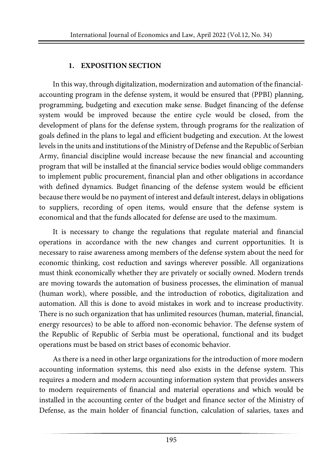## **1. EXPOSITION SECTION**

In this way, through digitalization, modernization and automation of the financialaccounting program in the defense system, it would be ensured that (PPBI) planning, programming, budgeting and execution make sense. Budget financing of the defense system would be improved because the entire cycle would be closed, from the development of plans for the defense system, through programs for the realization of goals defined in the plans to legal and efficient budgeting and execution. At the lowest levelsin the units and institutions of the Ministry of Defense and the Republic of Serbian Army, financial discipline would increase because the new financial and accounting program that will be installed at the financial service bodies would oblige commanders to implement public procurement, financial plan and other obligations in accordance with defined dynamics. Budget financing of the defense system would be efficient because there would be no payment of interest and default interest, delays in obligations to suppliers, recording of open items, would ensure that the defense system is economical and that the funds allocated for defense are used to the maximum.

It is necessary to change the regulations that regulate material and financial operations in accordance with the new changes and current opportunities. It is necessary to raise awareness among members of the defense system about the need for economic thinking, cost reduction and savings wherever possible. All organizations must think economically whether they are privately or socially owned. Modern trends are moving towards the automation of business processes, the elimination of manual (human work), where possible, and the introduction of robotics, digitalization and automation. All this is done to avoid mistakes in work and to increase productivity. There is no such organization that has unlimited resources (human, material, financial, energy resources) to be able to afford non-economic behavior. The defense system of the Republic of Republic of Serbia must be operational, functional and its budget operations must be based on strict bases of economic behavior.

As there is a need in other large organizations for the introduction of more modern accounting information systems, this need also exists in the defense system. This requires a modern and modern accounting information system that provides answers to modern requirements of financial and material operations and which would be installed in the accounting center of the budget and finance sector of the Ministry of Defense, as the main holder of financial function, calculation of salaries, taxes and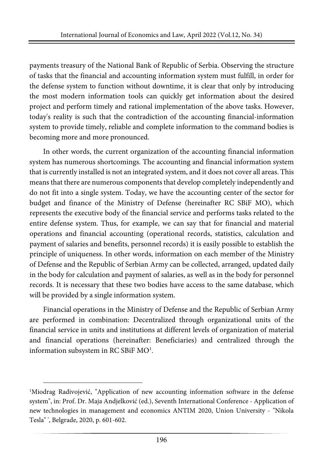payments treasury of the National Bank of Republic of Serbia. Observing the structure of tasks that the financial and accounting information system must fulfill, in order for the defense system to function without downtime, it is clear that only by introducing the most modern information tools can quickly get information about the desired project and perform timely and rational implementation of the above tasks. However, today's reality is such that the contradiction of the accounting financial-information system to provide timely, reliable and complete information to the command bodies is becoming more and more pronounced.

In other words, the current organization of the accounting financial information system has numerous shortcomings. The accounting and financial information system that is currently installed is not an integrated system, and it does not cover all areas. This means that there are numerous components that develop completely independently and do not fit into a single system. Today, we have the accounting center of the sector for budget and finance of the Ministry of Defense (hereinafter RC SBiF MO), which represents the executive body of the financial service and performs tasks related to the entire defense system. Thus, for example, we can say that for financial and material operations and financial accounting (operational records, statistics, calculation and payment of salaries and benefits, personnel records) it is easily possible to establish the principle of uniqueness. In other words, information on each member of the Ministry of Defense and the Republic of Serbian Army can be collected, arranged, updated daily in the body for calculation and payment of salaries, as well as in the body for personnel records. It is necessary that these two bodies have access to the same database, which will be provided by a single information system.

Financial operations in the Ministry of Defense and the Republic of Serbian Army are performed in combination: Decentralized through organizational units of the financial service in units and institutions at different levels of organization of material and financial operations (hereinafter: Beneficiaries) and centralized through the information subsystem in RC SBiF  $\rm MO^1.$ 

<span id="page-5-0"></span><sup>1</sup> Miodrag Radivojević, "Application of new accounting information software in the defense system", in: Prof. Dr. Maja Andjelković (ed.), Seventh International Conference - Application of new technologies in management and economics ANTIM 2020, Union University - "Nikola Tesla" ', Belgrade, 2020, p. 601-602.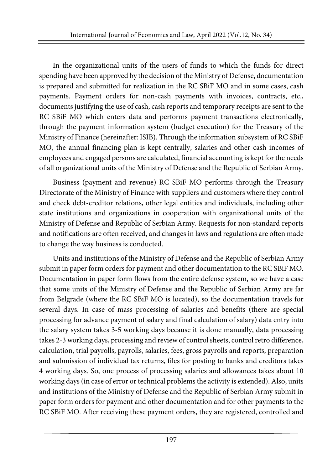In the organizational units of the users of funds to which the funds for direct spending have been approved by the decision of the Ministry of Defense, documentation is prepared and submitted for realization in the RC SBiF MO and in some cases, cash payments. Payment orders for non-cash payments with invoices, contracts, etc., documents justifying the use of cash, cash reports and temporary receipts are sent to the RC SBiF MO which enters data and performs payment transactions electronically, through the payment information system (budget execution) for the Treasury of the Ministry of Finance (hereinafter: ISIB). Through the information subsystem of RC SBiF MO, the annual financing plan is kept centrally, salaries and other cash incomes of employees and engaged persons are calculated, financial accounting is kept forthe needs of all organizational units of the Ministry of Defense and the Republic of Serbian Army.

Business (payment and revenue) RC SBiF MO performs through the Treasury Directorate of the Ministry of Finance with suppliers and customers where they control and check debt-creditor relations, other legal entities and individuals, including other state institutions and organizations in cooperation with organizational units of the Ministry of Defense and Republic of Serbian Army. Requests for non-standard reports and notifications are often received, and changes in laws and regulations are often made to change the way business is conducted.

Units and institutions of the Ministry of Defense and the Republic of Serbian Army submit in paper form orders for payment and other documentation to the RC SBiF MO. Documentation in paper form flows from the entire defense system, so we have a case that some units of the Ministry of Defense and the Republic of Serbian Army are far from Belgrade (where the RC SBiF MO is located), so the documentation travels for several days. In case of mass processing of salaries and benefits (there are special processing for advance payment of salary and final calculation of salary) data entry into the salary system takes 3-5 working days because it is done manually, data processing takes 2-3 working days, processing and review of control sheets, control retro difference, calculation, trial payrolls, payrolls, salaries, fees, gross payrolls and reports, preparation and submission of individual tax returns, files for posting to banks and creditors takes 4 working days. So, one process of processing salaries and allowances takes about 10 working days (in case of error or technical problems the activity is extended). Also, units and institutions of the Ministry of Defense and the Republic of Serbian Army submit in paper form orders for payment and other documentation and for other payments to the RC SBiF MO. After receiving these payment orders, they are registered, controlled and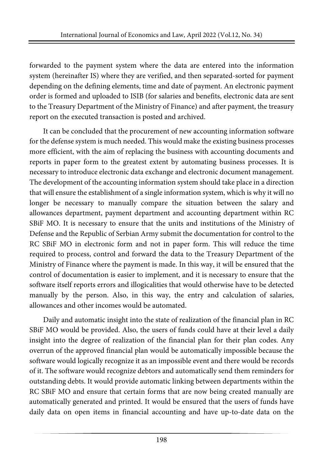forwarded to the payment system where the data are entered into the information system (hereinafter IS) where they are verified, and then separated-sorted for payment depending on the defining elements, time and date of payment. An electronic payment order is formed and uploaded to ISIB (for salaries and benefits, electronic data are sent to the Treasury Department of the Ministry of Finance) and after payment, the treasury report on the executed transaction is posted and archived.

It can be concluded that the procurement of new accounting information software for the defense system is much needed. This would make the existing business processes more efficient, with the aim of replacing the business with accounting documents and reports in paper form to the greatest extent by automating business processes. It is necessary to introduce electronic data exchange and electronic document management. The development of the accounting information system should take place in a direction that will ensure the establishment of a single information system, which is why it will no longer be necessary to manually compare the situation between the salary and allowances department, payment department and accounting department within RC SBiF MO. It is necessary to ensure that the units and institutions of the Ministry of Defense and the Republic of Serbian Army submit the documentation for control to the RC SBiF MO in electronic form and not in paper form. This will reduce the time required to process, control and forward the data to the Treasury Department of the Ministry of Finance where the payment is made. In this way, it will be ensured that the control of documentation is easier to implement, and it is necessary to ensure that the software itself reports errors and illogicalities that would otherwise have to be detected manually by the person. Also, in this way, the entry and calculation of salaries, allowances and other incomes would be automated.

Daily and automatic insight into the state of realization of the financial plan in RC SBiF MO would be provided. Also, the users of funds could have at their level a daily insight into the degree of realization of the financial plan for their plan codes. Any overrun of the approved financial plan would be automatically impossible because the software would logically recognize it as an impossible event and there would be records of it. The software would recognize debtors and automatically send them reminders for outstanding debts. It would provide automatic linking between departments within the RC SBiF MO and ensure that certain forms that are now being created manually are automatically generated and printed. It would be ensured that the users of funds have daily data on open items in financial accounting and have up-to-date data on the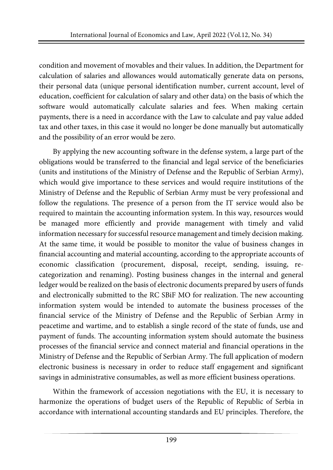condition and movement of movables and their values. In addition, the Department for calculation of salaries and allowances would automatically generate data on persons, their personal data (unique personal identification number, current account, level of education, coefficient for calculation of salary and other data) on the basis of which the software would automatically calculate salaries and fees. When making certain payments, there is a need in accordance with the Law to calculate and pay value added tax and other taxes, in this case it would no longer be done manually but automatically and the possibility of an error would be zero.

By applying the new accounting software in the defense system, a large part of the obligations would be transferred to the financial and legal service of the beneficiaries (units and institutions of the Ministry of Defense and the Republic of Serbian Army), which would give importance to these services and would require institutions of the Ministry of Defense and the Republic of Serbian Army must be very professional and follow the regulations. The presence of a person from the IT service would also be required to maintain the accounting information system. In this way, resources would be managed more efficiently and provide management with timely and valid information necessary for successful resource management and timely decision making. At the same time, it would be possible to monitor the value of business changes in financial accounting and material accounting, according to the appropriate accounts of economic classification (procurement, disposal, receipt, sending, issuing, recategorization and renaming). Posting business changes in the internal and general ledger would be realized on the basis of electronic documents prepared by users of funds and electronically submitted to the RC SBiF MO for realization. The new accounting information system would be intended to automate the business processes of the financial service of the Ministry of Defense and the Republic of Serbian Army in peacetime and wartime, and to establish a single record of the state of funds, use and payment of funds. The accounting information system should automate the business processes of the financial service and connect material and financial operations in the Ministry of Defense and the Republic of Serbian Army. The full application of modern electronic business is necessary in order to reduce staff engagement and significant savings in administrative consumables, as well as more efficient business operations.

Within the framework of accession negotiations with the EU, it is necessary to harmonize the operations of budget users of the Republic of Republic of Serbia in accordance with international accounting standards and EU principles. Therefore, the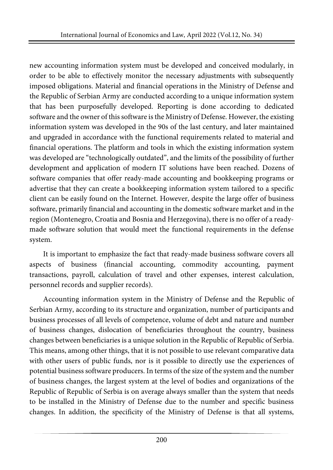new accounting information system must be developed and conceived modularly, in order to be able to effectively monitor the necessary adjustments with subsequently imposed obligations. Material and financial operations in the Ministry of Defense and the Republic of Serbian Army are conducted according to a unique information system that has been purposefully developed. Reporting is done according to dedicated software and the owner of this software is the Ministry of Defense. However, the existing information system was developed in the 90s of the last century, and later maintained and upgraded in accordance with the functional requirements related to material and financial operations. The platform and tools in which the existing information system was developed are "technologically outdated", and the limits of the possibility of further development and application of modern IT solutions have been reached. Dozens of software companies that offer ready-made accounting and bookkeeping programs or advertise that they can create a bookkeeping information system tailored to a specific client can be easily found on the Internet. However, despite the large offer of business software, primarily financial and accounting in the domestic software market and in the region (Montenegro, Croatia and Bosnia and Herzegovina), there is no offer of a readymade software solution that would meet the functional requirements in the defense system.

It is important to emphasize the fact that ready-made business software covers all aspects of business (financial accounting, commodity accounting, payment transactions, payroll, calculation of travel and other expenses, interest calculation, personnel records and supplier records).

Accounting information system in the Ministry of Defense and the Republic of Serbian Army, according to its structure and organization, number of participants and business processes of all levels of competence, volume of debt and nature and number of business changes, dislocation of beneficiaries throughout the country, business changes between beneficiaries is a unique solution in the Republic of Republic of Serbia. This means, among other things, that it is not possible to use relevant comparative data with other users of public funds, nor is it possible to directly use the experiences of potential business software producers. In terms of the size of the system and the number of business changes, the largest system at the level of bodies and organizations of the Republic of Republic of Serbia is on average always smaller than the system that needs to be installed in the Ministry of Defense due to the number and specific business changes. In addition, the specificity of the Ministry of Defense is that all systems,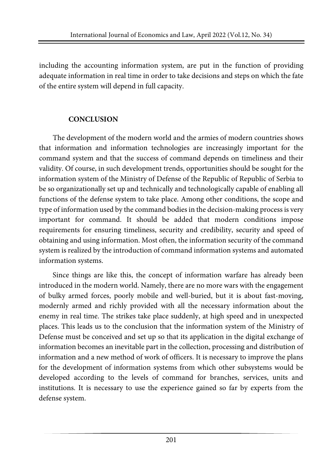including the accounting information system, are put in the function of providing adequate information in real time in order to take decisions and steps on which the fate of the entire system will depend in full capacity.

## **CONCLUSION**

The development of the modern world and the armies of modern countries shows that information and information technologies are increasingly important for the command system and that the success of command depends on timeliness and their validity. Of course, in such development trends, opportunities should be sought for the information system of the Ministry of Defense of the Republic of Republic of Serbia to be so organizationally set up and technically and technologically capable of enabling all functions of the defense system to take place. Among other conditions, the scope and type of information used by the command bodies in the decision-making process is very important for command. It should be added that modern conditions impose requirements for ensuring timeliness, security and credibility, security and speed of obtaining and using information. Most often, the information security of the command system is realized by the introduction of command information systems and automated information systems.

Since things are like this, the concept of information warfare has already been introduced in the modern world. Namely, there are no more wars with the engagement of bulky armed forces, poorly mobile and well-buried, but it is about fast-moving, modernly armed and richly provided with all the necessary information about the enemy in real time. The strikes take place suddenly, at high speed and in unexpected places. This leads us to the conclusion that the information system of the Ministry of Defense must be conceived and set up so that its application in the digital exchange of information becomes an inevitable part in the collection, processing and distribution of information and a new method of work of officers. It is necessary to improve the plans for the development of information systems from which other subsystems would be developed according to the levels of command for branches, services, units and institutions. It is necessary to use the experience gained so far by experts from the defense system.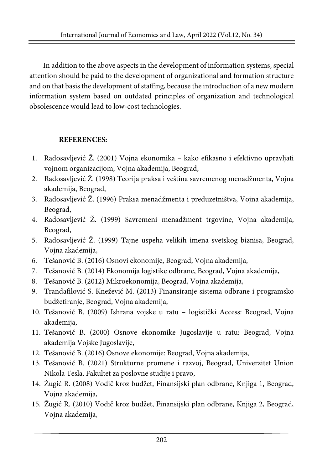In addition to the above aspects in the development of information systems, special attention should be paid to the development of organizational and formation structure and on that basis the development of staffing, because the introduction of a new modern information system based on outdated principles of organization and technological obsolescence would lead to low-cost technologies.

# **REFERENCES:**

- 1. Radosavljević Ž. (2001) Vojna ekonomika kako efikasno i efektivno upravljati vojnom organizacijom, Vojna akademija, Beograd,
- 2. Radosavljević Ž. (1998) Teorija praksa i veština savremenog menadžmenta, Vojna akademija, Beograd,
- 3. Radosavljević Ž. (1996) Praksa menadžmenta i preduzetništva, Vojna akademija, Beograd,
- 4. Radosavljević Ž. (1999) Savremeni menadžment trgovine, Vojna akademija, Beograd,
- 5. Radosavljević Ž. (1999) Tajne uspeha velikih imena svetskog biznisa, Beograd, Vojna akademija,
- 6. Tešanović B. (2016) Osnovi ekonomije, Beograd, Vojna akademija,
- 7. Tešanović B. (2014) Ekonomija logistike odbrane, Beograd, Vojna akademija,
- 8. Tešanović B. (2012) Mikroekonomija, Beograd, Vojna akademija,
- 9. Trandafilović S. Knežević M. (2013) Finansiranje sistema odbrane i programsko budžetiranje, Beograd, Vojna akademija,
- 10. Tešanović B. (2009) Ishrana vojske u ratu logistički Access: Beograd, Vojna akademija,
- 11. Tešanović B. (2000) Osnove ekonomike Jugoslavije u ratu: Beograd, Vojna akademija Vojske Jugoslavije,
- 12. Tešanović B. (2016) Osnove ekonomije: Beograd, Vojna akademija,
- 13. Tešanović B. (2021) Strukturne promene i razvoj, Beograd, Univerzitet Union Nikola Tesla, Fakultet za poslovne studije i pravo,
- 14. Žugić R. (2008) Vodič kroz budžet, Finansijski plan odbrane, Knjiga 1, Beograd, Vojna akademija,
- 15. Žugić R. (2010) Vodič kroz budžet, Finansijski plan odbrane, Knjiga 2, Beograd, Vojna akademija,